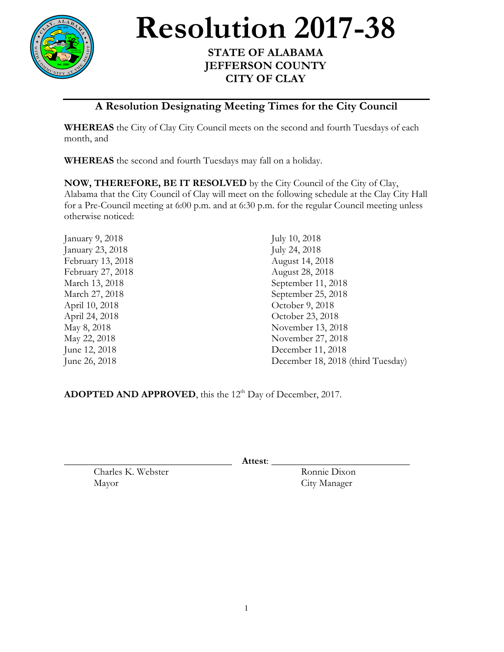

Resolution 2017-38

## **JEFFERSON COUNTY CITY OF CLAY**

## **A Resolution Designating Meeting Times for the City Council**

**WHEREAS** the City of Clay City Council meets on the second and fourth Tuesdays of each month, and

**WHEREAS** the second and fourth Tuesdays may fall on a holiday.

**NOW, THEREFORE, BE IT RESOLVED** by the City Council of the City of Clay, Alabama that the City Council of Clay will meet on the following schedule at the Clay City Hall for a Pre-Council meeting at 6:00 p.m. and at 6:30 p.m. for the regular Council meeting unless otherwise noticed:

| January 9, 2018   | July 10, 2018                     |
|-------------------|-----------------------------------|
| January 23, 2018  | July 24, 2018                     |
| February 13, 2018 | August 14, 2018                   |
| February 27, 2018 | August 28, 2018                   |
| March 13, 2018    | September 11, 2018                |
| March 27, 2018    | September 25, 2018                |
| April 10, 2018    | October 9, 2018                   |
| April 24, 2018    | October 23, 2018                  |
| May 8, 2018       | November 13, 2018                 |
| May 22, 2018      | November 27, 2018                 |
| June 12, 2018     | December 11, 2018                 |
| June 26, 2018     | December 18, 2018 (third Tuesday) |
|                   |                                   |

ADOPTED AND APPROVED, this the 12<sup>th</sup> Day of December, 2017.

\_\_\_\_\_\_\_\_\_\_\_\_\_\_\_\_\_\_\_\_\_\_\_\_\_\_\_\_\_\_\_\_\_\_ **Attest**: \_\_\_\_\_\_\_\_\_\_\_\_\_\_\_\_\_\_\_\_\_\_\_\_\_\_\_\_

Charles K. Webster Ronnie Dixon Mayor City Manager